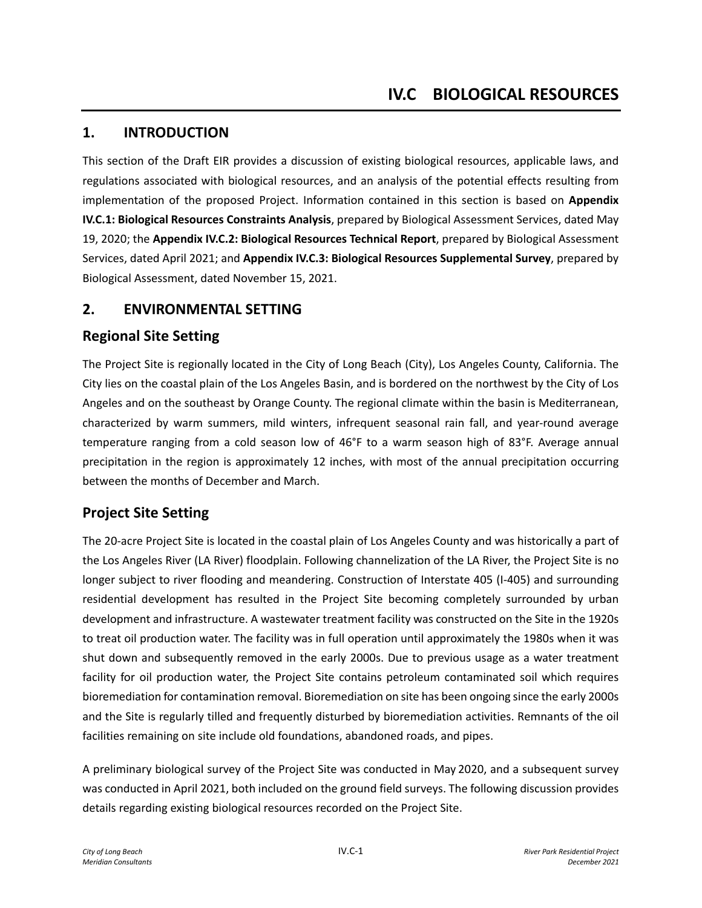## **1. INTRODUCTION**

This section of the Draft EIR provides a discussion of existing biological resources, applicable laws, and regulations associated with biological resources, and an analysis of the potential effects resulting from implementation of the proposed Project. Information contained in this section is based on **Appendix IV.C.1: Biological Resources Constraints Analysis**, prepared by Biological Assessment Services, dated May 19, 2020; the **Appendix IV.C.2: Biological Resources Technical Report**, prepared by Biological Assessment Services, dated April 2021; and **Appendix IV.C.3: Biological Resources Supplemental Survey**, prepared by Biological Assessment, dated November 15, 2021.

### **2. ENVIRONMENTAL SETTING**

### **Regional Site Setting**

The Project Site is regionally located in the City of Long Beach (City), Los Angeles County, California. The City lies on the coastal plain of the Los Angeles Basin, and is bordered on the northwest by the City of Los Angeles and on the southeast by Orange County. The regional climate within the basin is Mediterranean, characterized by warm summers, mild winters, infrequent seasonal rain fall, and year-round average temperature ranging from a cold season low of 46°F to a warm season high of 83°F. Average annual precipitation in the region is approximately 12 inches, with most of the annual precipitation occurring between the months of December and March.

# **Project Site Setting**

The 20-acre Project Site is located in the coastal plain of Los Angeles County and was historically a part of the Los Angeles River (LA River) floodplain. Following channelization of the LA River, the Project Site is no longer subject to river flooding and meandering. Construction of Interstate 405 (I-405) and surrounding residential development has resulted in the Project Site becoming completely surrounded by urban development and infrastructure. A wastewater treatment facility was constructed on the Site in the 1920s to treat oil production water. The facility was in full operation until approximately the 1980s when it was shut down and subsequently removed in the early 2000s. Due to previous usage as a water treatment facility for oil production water, the Project Site contains petroleum contaminated soil which requires bioremediation for contamination removal. Bioremediation on site has been ongoing since the early 2000s and the Site is regularly tilled and frequently disturbed by bioremediation activities. Remnants of the oil facilities remaining on site include old foundations, abandoned roads, and pipes.

A preliminary biological survey of the Project Site was conducted in May 2020, and a subsequent survey was conducted in April 2021, both included on the ground field surveys. The following discussion provides details regarding existing biological resources recorded on the Project Site.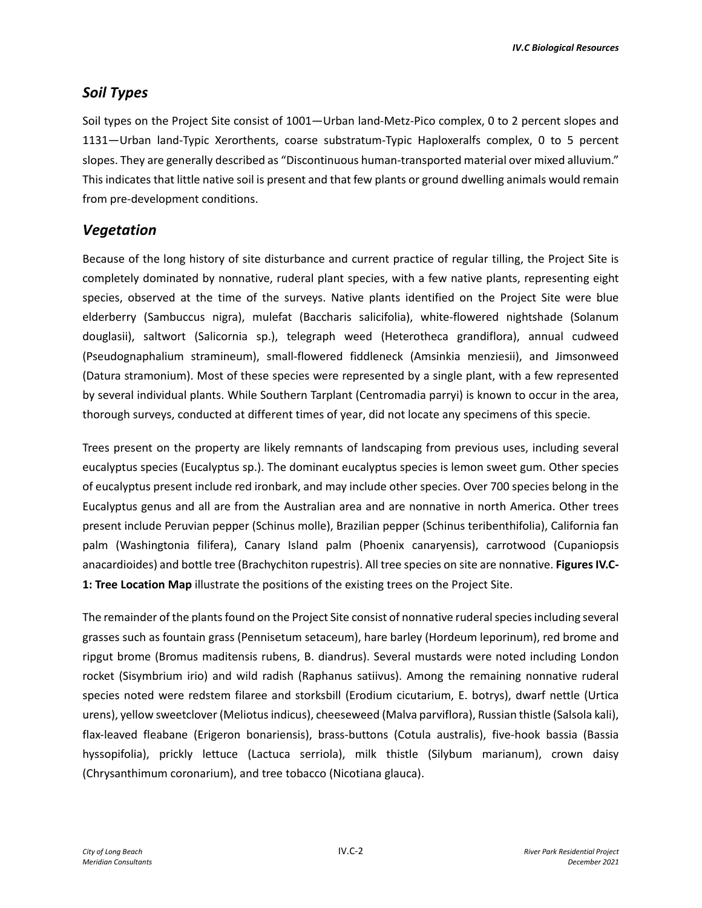## *Soil Types*

Soil types on the Project Site consist of 1001—Urban land-Metz-Pico complex, 0 to 2 percent slopes and 1131—Urban land-Typic Xerorthents, coarse substratum-Typic Haploxeralfs complex, 0 to 5 percent slopes. They are generally described as "Discontinuous human-transported material over mixed alluvium." This indicates that little native soil is present and that few plants or ground dwelling animals would remain from pre-development conditions.

## *Vegetation*

Because of the long history of site disturbance and current practice of regular tilling, the Project Site is completely dominated by nonnative, ruderal plant species, with a few native plants, representing eight species, observed at the time of the surveys. Native plants identified on the Project Site were blue elderberry (Sambuccus nigra), mulefat (Baccharis salicifolia), white-flowered nightshade (Solanum douglasii), saltwort (Salicornia sp.), telegraph weed (Heterotheca grandiflora), annual cudweed (Pseudognaphalium stramineum), small-flowered fiddleneck (Amsinkia menziesii), and Jimsonweed (Datura stramonium). Most of these species were represented by a single plant, with a few represented by several individual plants. While Southern Tarplant (Centromadia parryi) is known to occur in the area, thorough surveys, conducted at different times of year, did not locate any specimens of this specie.

Trees present on the property are likely remnants of landscaping from previous uses, including several eucalyptus species (Eucalyptus sp.). The dominant eucalyptus species is lemon sweet gum. Other species of eucalyptus present include red ironbark, and may include other species. Over 700 species belong in the Eucalyptus genus and all are from the Australian area and are nonnative in north America. Other trees present include Peruvian pepper (Schinus molle), Brazilian pepper (Schinus teribenthifolia), California fan palm (Washingtonia filifera), Canary Island palm (Phoenix canaryensis), carrotwood (Cupaniopsis anacardioides) and bottle tree (Brachychiton rupestris). All tree species on site are nonnative. **Figures IV.C-1: Tree Location Map** illustrate the positions of the existing trees on the Project Site.

The remainder of the plants found on the Project Site consist of nonnative ruderal species including several grasses such as fountain grass (Pennisetum setaceum), hare barley (Hordeum leporinum), red brome and ripgut brome (Bromus maditensis rubens, B. diandrus). Several mustards were noted including London rocket (Sisymbrium irio) and wild radish (Raphanus satiivus). Among the remaining nonnative ruderal species noted were redstem filaree and storksbill (Erodium cicutarium, E. botrys), dwarf nettle (Urtica urens), yellow sweetclover (Meliotus indicus), cheeseweed (Malva parviflora), Russian thistle (Salsola kali), flax-leaved fleabane (Erigeron bonariensis), brass-buttons (Cotula australis), five-hook bassia (Bassia hyssopifolia), prickly lettuce (Lactuca serriola), milk thistle (Silybum marianum), crown daisy (Chrysanthimum coronarium), and tree tobacco (Nicotiana glauca).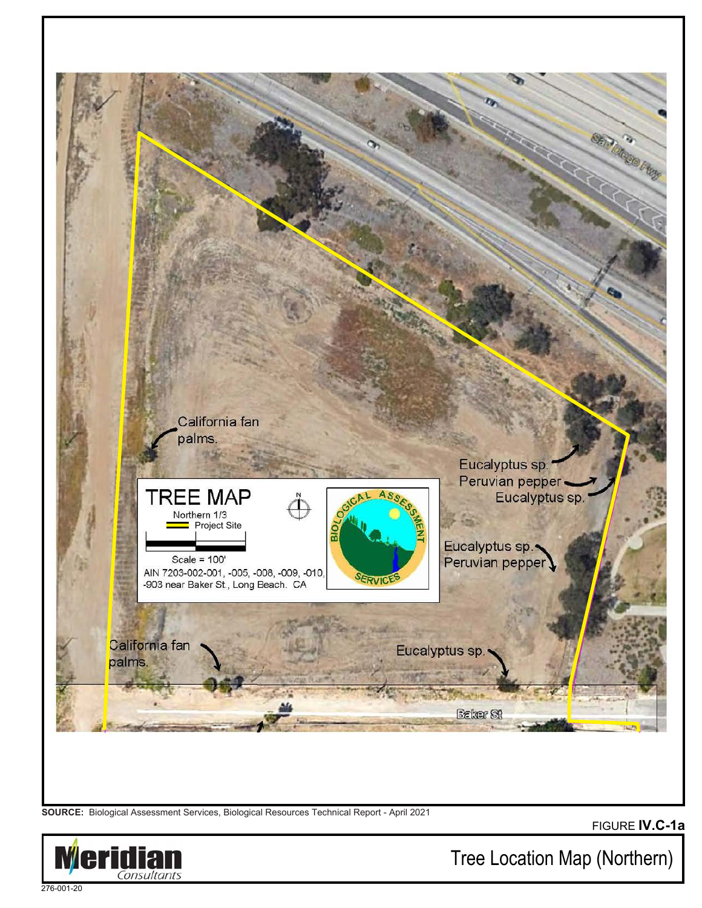

**SOURCE:** Biological Assessment Services, Biological Resources Technical Report - April 2021

FIGURE **IV.C-1a**



Tree Location Map (Northern)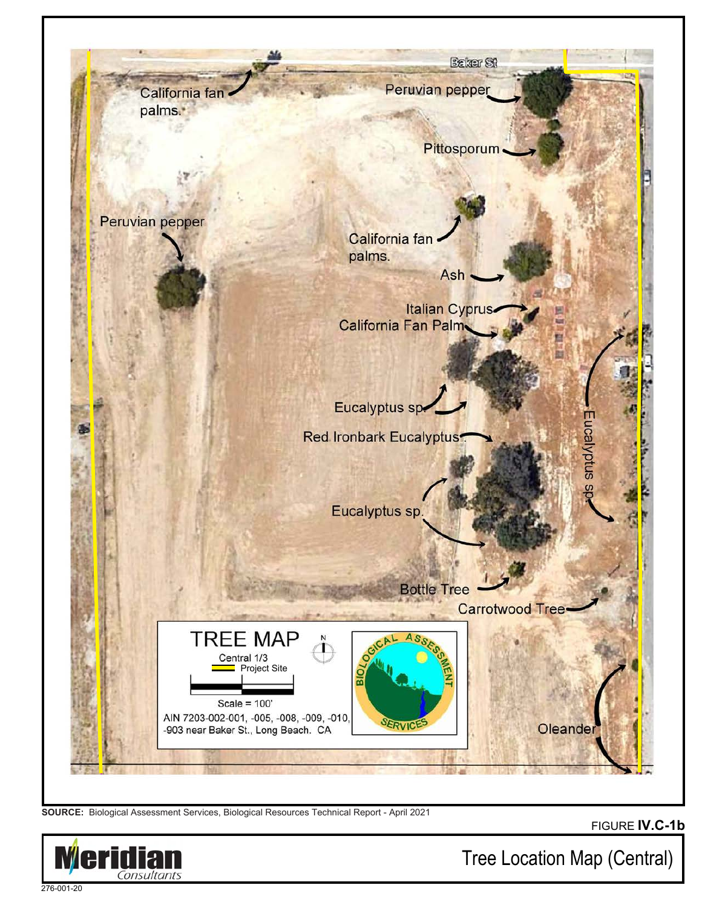

**SOURCE:** Biological Assessment Services, Biological Resources Technical Report - April 2021

FIGURE **IV.C-1b**



Tree Location Map (Central)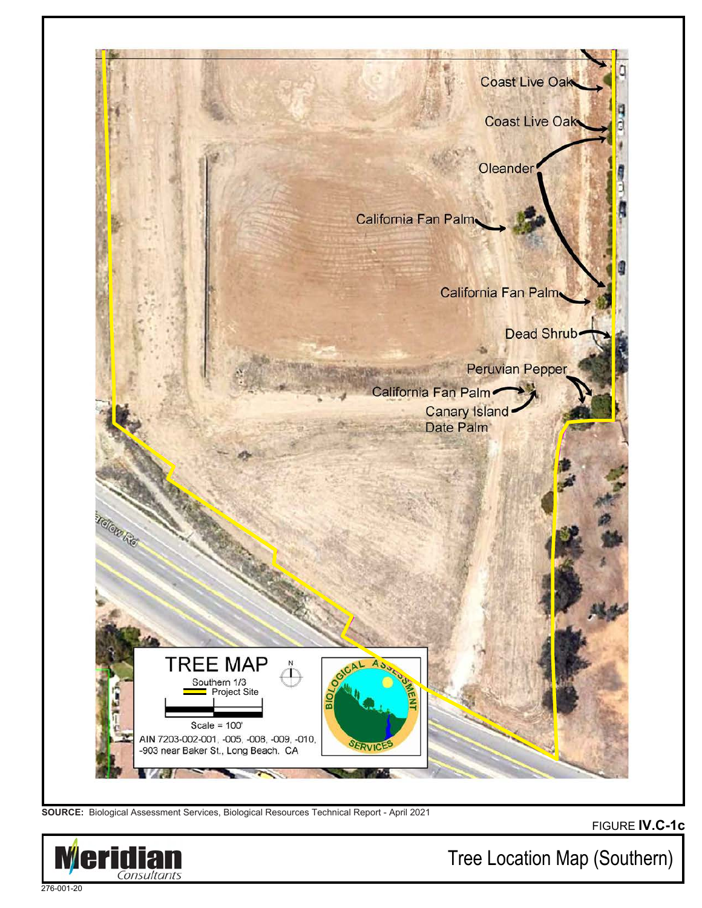

**SOURCE:** Biological Assessment Services, Biological Resources Technical Report - April 2021





Tree Location Map (Southern)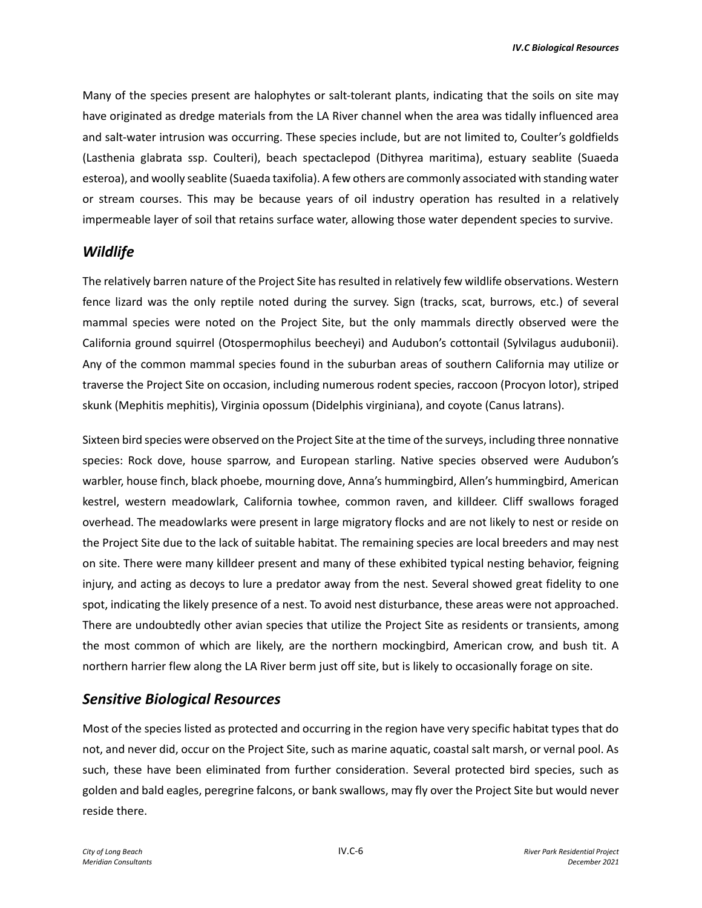Many of the species present are halophytes or salt-tolerant plants, indicating that the soils on site may have originated as dredge materials from the LA River channel when the area was tidally influenced area and salt-water intrusion was occurring. These species include, but are not limited to, Coulter's goldfields (Lasthenia glabrata ssp. Coulteri), beach spectaclepod (Dithyrea maritima), estuary seablite (Suaeda esteroa), and woolly seablite (Suaeda taxifolia). A few others are commonly associated with standing water or stream courses. This may be because years of oil industry operation has resulted in a relatively impermeable layer of soil that retains surface water, allowing those water dependent species to survive.

#### *Wildlife*

The relatively barren nature of the Project Site has resulted in relatively few wildlife observations. Western fence lizard was the only reptile noted during the survey. Sign (tracks, scat, burrows, etc.) of several mammal species were noted on the Project Site, but the only mammals directly observed were the California ground squirrel (Otospermophilus beecheyi) and Audubon's cottontail (Sylvilagus audubonii). Any of the common mammal species found in the suburban areas of southern California may utilize or traverse the Project Site on occasion, including numerous rodent species, raccoon (Procyon lotor), striped skunk (Mephitis mephitis), Virginia opossum (Didelphis virginiana), and coyote (Canus latrans).

Sixteen bird species were observed on the Project Site at the time of the surveys, including three nonnative species: Rock dove, house sparrow, and European starling. Native species observed were Audubon's warbler, house finch, black phoebe, mourning dove, Anna's hummingbird, Allen's hummingbird, American kestrel, western meadowlark, California towhee, common raven, and killdeer. Cliff swallows foraged overhead. The meadowlarks were present in large migratory flocks and are not likely to nest or reside on the Project Site due to the lack of suitable habitat. The remaining species are local breeders and may nest on site. There were many killdeer present and many of these exhibited typical nesting behavior, feigning injury, and acting as decoys to lure a predator away from the nest. Several showed great fidelity to one spot, indicating the likely presence of a nest. To avoid nest disturbance, these areas were not approached. There are undoubtedly other avian species that utilize the Project Site as residents or transients, among the most common of which are likely, are the northern mockingbird, American crow, and bush tit. A northern harrier flew along the LA River berm just off site, but is likely to occasionally forage on site.

#### *Sensitive Biological Resources*

Most of the species listed as protected and occurring in the region have very specific habitat types that do not, and never did, occur on the Project Site, such as marine aquatic, coastal salt marsh, or vernal pool. As such, these have been eliminated from further consideration. Several protected bird species, such as golden and bald eagles, peregrine falcons, or bank swallows, may fly over the Project Site but would never reside there.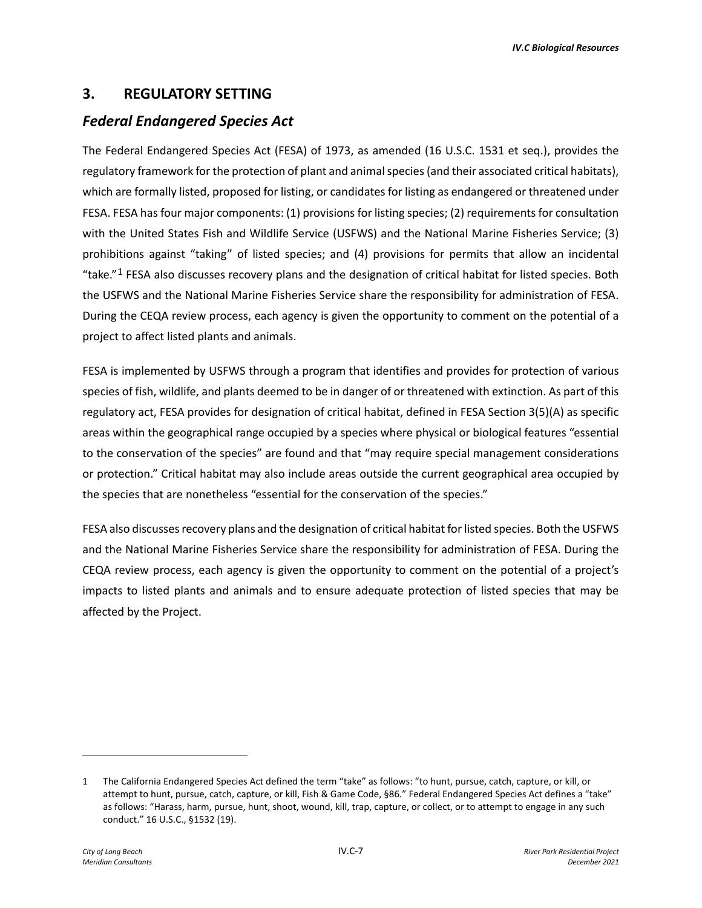#### **3. REGULATORY SETTING**

### *Federal Endangered Species Act*

The Federal Endangered Species Act (FESA) of 1973, as amended (16 U.S.C. 1531 et seq.), provides the regulatory framework for the protection of plant and animal species (and their associated critical habitats), which are formally listed, proposed for listing, or candidates for listing as endangered or threatened under FESA. FESA has four major components: (1) provisions for listing species; (2) requirements for consultation with the United States Fish and Wildlife Service (USFWS) and the National Marine Fisheries Service; (3) prohibitions against "taking" of listed species; and (4) provisions for permits that allow an incidental "take." $1$  FESA also discusses recovery plans and the designation of critical habitat for listed species. Both the USFWS and the National Marine Fisheries Service share the responsibility for administration of FESA. During the CEQA review process, each agency is given the opportunity to comment on the potential of a project to affect listed plants and animals.

FESA is implemented by USFWS through a program that identifies and provides for protection of various species of fish, wildlife, and plants deemed to be in danger of or threatened with extinction. As part of this regulatory act, FESA provides for designation of critical habitat, defined in FESA Section 3(5)(A) as specific areas within the geographical range occupied by a species where physical or biological features "essential to the conservation of the species" are found and that "may require special management considerations or protection." Critical habitat may also include areas outside the current geographical area occupied by the species that are nonetheless "essential for the conservation of the species."

FESA also discusses recovery plans and the designation of critical habitat for listed species. Both the USFWS and the National Marine Fisheries Service share the responsibility for administration of FESA. During the CEQA review process, each agency is given the opportunity to comment on the potential of a project's impacts to listed plants and animals and to ensure adequate protection of listed species that may be affected by the Project.

<span id="page-6-0"></span><sup>1</sup> The California Endangered Species Act defined the term "take" as follows: "to hunt, pursue, catch, capture, or kill, or attempt to hunt, pursue, catch, capture, or kill, Fish & Game Code, §86." Federal Endangered Species Act defines a "take" as follows: "Harass, harm, pursue, hunt, shoot, wound, kill, trap, capture, or collect, or to attempt to engage in any such conduct." 16 U.S.C., §1532 (19).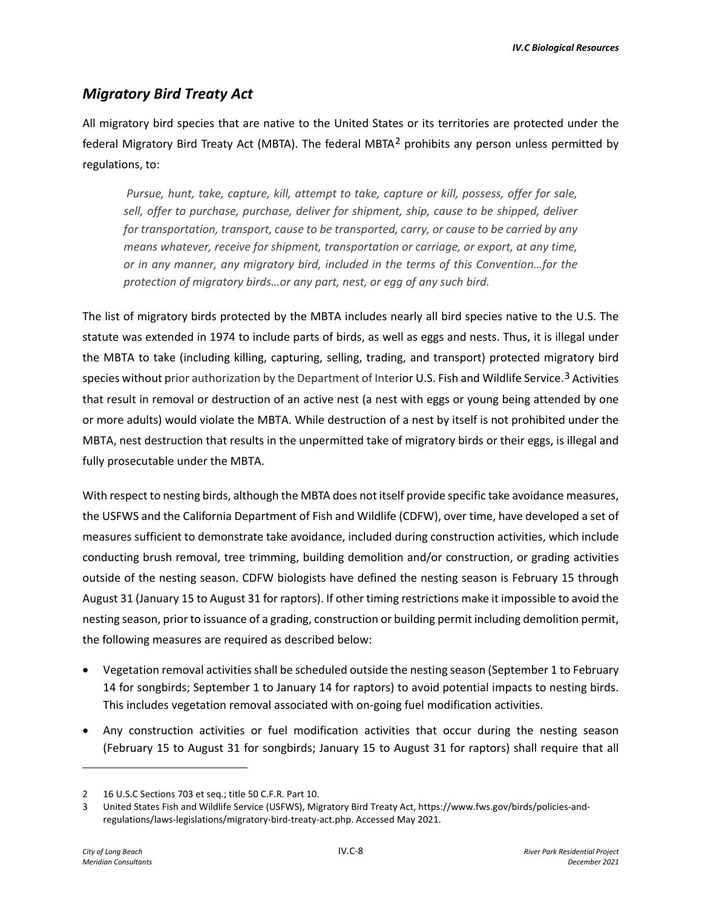# *Migratory Bird Treaty Act*

All migratory bird species that are native to the United States or its territories are protected under the federal Migratory Bird Treaty Act (MBTA). The federal MBTA<sup>[2](#page-7-0)</sup> prohibits any person unless permitted by regulations, to:

 *Pursue, hunt, take, capture, kill, attempt to take, capture or kill, possess, offer for sale, sell, offer to purchase, purchase, deliver for shipment, ship, cause to be shipped, deliver for transportation, transport, cause to be transported, carry, or cause to be carried by any means whatever, receive for shipment, transportation or carriage, or export, at any time, or in any manner, any migratory bird, included in the terms of this Convention…for the protection of migratory birds…or any part, nest, or egg of any such bird.* 

The list of migratory birds protected by the MBTA includes nearly all bird species native to the U.S. The statute was extended in 1974 to include parts of birds, as well as eggs and nests. Thus, it is illegal under the MBTA to take (including killing, capturing, selling, trading, and transport) protected migratory bird species without prior authorization by the Department of Interior U.S. Fish and Wildlife Service.<sup>[3](#page-7-1)</sup> Activities that result in removal or destruction of an active nest (a nest with eggs or young being attended by one or more adults) would violate the MBTA. While destruction of a nest by itself is not prohibited under the MBTA, nest destruction that results in the unpermitted take of migratory birds or their eggs, is illegal and fully prosecutable under the MBTA.

With respect to nesting birds, although the MBTA does not itself provide specific take avoidance measures, the USFWS and the California Department of Fish and Wildlife (CDFW), over time, have developed a set of measures sufficient to demonstrate take avoidance, included during construction activities, which include conducting brush removal, tree trimming, building demolition and/or construction, or grading activities outside of the nesting season. CDFW biologists have defined the nesting season is February 15 through August 31 (January 15 to August 31 for raptors). If other timing restrictions make it impossible to avoid the nesting season, prior to issuance of a grading, construction or building permit including demolition permit, the following measures are required as described below:

- Vegetation removal activities shall be scheduled outside the nesting season (September 1 to February 14 for songbirds; September 1 to January 14 for raptors) to avoid potential impacts to nesting birds. This includes vegetation removal associated with on-going fuel modification activities.
- Any construction activities or fuel modification activities that occur during the nesting season (February 15 to August 31 for songbirds; January 15 to August 31 for raptors) shall require that all

<span id="page-7-0"></span><sup>2</sup> 16 U.S.C Sections 703 et seq.; title 50 C.F.R. Part 10.

<span id="page-7-1"></span><sup>3</sup> United States Fish and Wildlife Service (USFWS), Migratory Bird Treaty Act, https://www.fws.gov/birds/policies-andregulations/laws-legislations/migratory-bird-treaty-act.php. Accessed May 2021.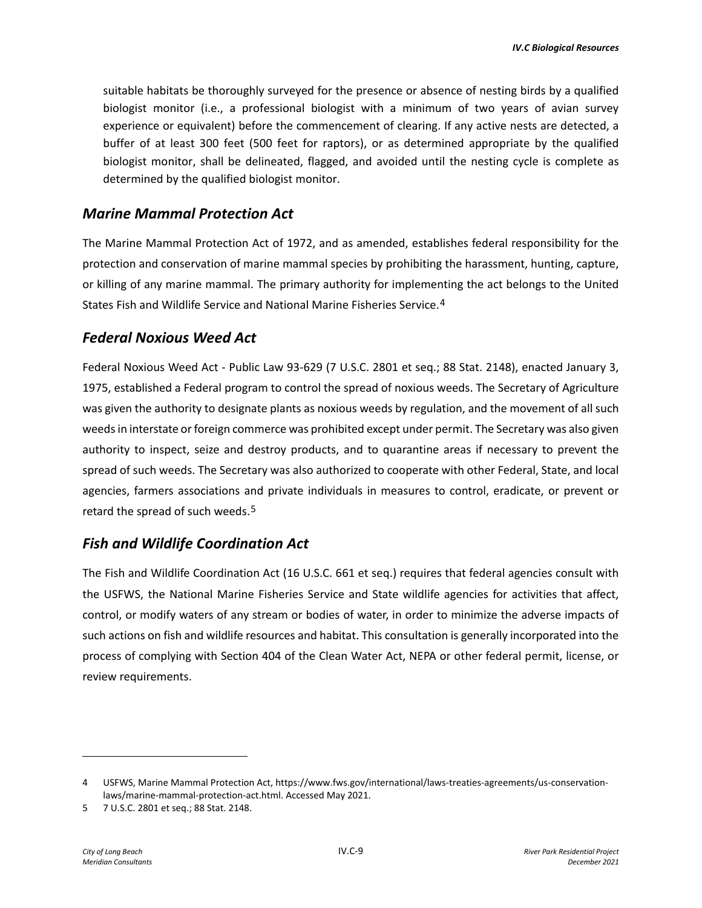suitable habitats be thoroughly surveyed for the presence or absence of nesting birds by a qualified biologist monitor (i.e., a professional biologist with a minimum of two years of avian survey experience or equivalent) before the commencement of clearing. If any active nests are detected, a buffer of at least 300 feet (500 feet for raptors), or as determined appropriate by the qualified biologist monitor, shall be delineated, flagged, and avoided until the nesting cycle is complete as determined by the qualified biologist monitor.

#### *Marine Mammal Protection Act*

The Marine Mammal Protection Act of 1972, and as amended, establishes federal responsibility for the protection and conservation of marine mammal species by prohibiting the harassment, hunting, capture, or killing of any marine mammal. The primary authority for implementing the act belongs to the United States Fish and Wildlife Service and National Marine Fisheries Service.[4](#page-8-0)

#### *Federal Noxious Weed Act*

Federal Noxious Weed Act - Public Law 93-629 (7 U.S.C. 2801 et seq.; 88 Stat. 2148), enacted January 3, 1975, established a Federal program to control the spread of noxious weeds. The Secretary of Agriculture was given the authority to designate plants as noxious weeds by regulation, and the movement of all such weeds in interstate or foreign commerce was prohibited except under permit. The Secretary was also given authority to inspect, seize and destroy products, and to quarantine areas if necessary to prevent the spread of such weeds. The Secretary was also authorized to cooperate with other Federal, State, and local agencies, farmers associations and private individuals in measures to control, eradicate, or prevent or retard the spread of such weeds.<sup>[5](#page-8-1)</sup>

#### *Fish and Wildlife Coordination Act*

The Fish and Wildlife Coordination Act (16 U.S.C. 661 et seq.) requires that federal agencies consult with the USFWS, the National Marine Fisheries Service and State wildlife agencies for activities that affect, control, or modify waters of any stream or bodies of water, in order to minimize the adverse impacts of such actions on fish and wildlife resources and habitat. This consultation is generally incorporated into the process of complying with Section 404 of the Clean Water Act, NEPA or other federal permit, license, or review requirements.

<span id="page-8-0"></span><sup>4</sup> USFWS, Marine Mammal Protection Act, https://www.fws.gov/international/laws-treaties-agreements/us-conservationlaws/marine-mammal-protection-act.html. Accessed May 2021.

<span id="page-8-1"></span><sup>5 7</sup> U.S.C. 2801 et seq.; 88 Stat. 2148.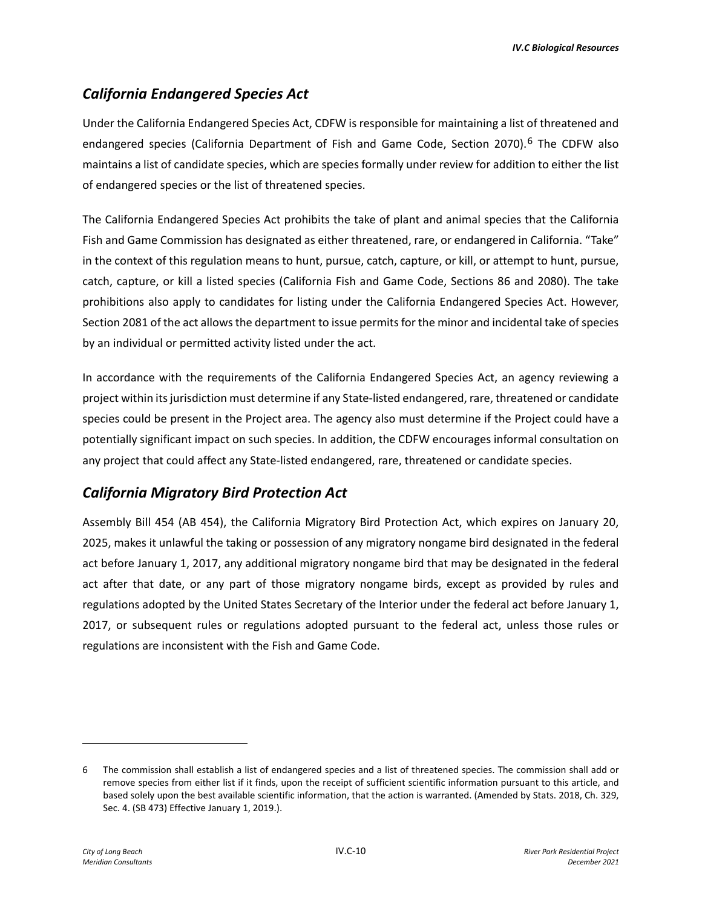# *California Endangered Species Act*

Under the California Endangered Species Act, CDFW is responsible for maintaining a list of threatened and endangered species (California Department of Fish and Game Code, Section 2070).<sup>[6](#page-9-0)</sup> The CDFW also maintains a list of candidate species, which are species formally under review for addition to either the list of endangered species or the list of threatened species.

The California Endangered Species Act prohibits the take of plant and animal species that the California Fish and Game Commission has designated as either threatened, rare, or endangered in California. "Take" in the context of this regulation means to hunt, pursue, catch, capture, or kill, or attempt to hunt, pursue, catch, capture, or kill a listed species (California Fish and Game Code, Sections 86 and 2080). The take prohibitions also apply to candidates for listing under the California Endangered Species Act. However, Section 2081 of the act allows the department to issue permits for the minor and incidental take of species by an individual or permitted activity listed under the act.

In accordance with the requirements of the California Endangered Species Act, an agency reviewing a project within its jurisdiction must determine if any State-listed endangered, rare, threatened or candidate species could be present in the Project area. The agency also must determine if the Project could have a potentially significant impact on such species. In addition, the CDFW encourages informal consultation on any project that could affect any State-listed endangered, rare, threatened or candidate species.

### *California Migratory Bird Protection Act*

Assembly Bill 454 (AB 454), the California Migratory Bird Protection Act, which expires on January 20, 2025, makes it unlawful the taking or possession of any migratory nongame bird designated in the federal act before January 1, 2017, any additional migratory nongame bird that may be designated in the federal act after that date, or any part of those migratory nongame birds, except as provided by rules and regulations adopted by the United States Secretary of the Interior under the federal act before January 1, 2017, or subsequent rules or regulations adopted pursuant to the federal act, unless those rules or regulations are inconsistent with the Fish and Game Code.

<span id="page-9-0"></span><sup>6</sup> The commission shall establish a list of endangered species and a list of threatened species. The commission shall add or remove species from either list if it finds, upon the receipt of sufficient scientific information pursuant to this article, and based solely upon the best available scientific information, that the action is warranted. (Amended by Stats. 2018, Ch. 329, Sec. 4. (SB 473) Effective January 1, 2019.).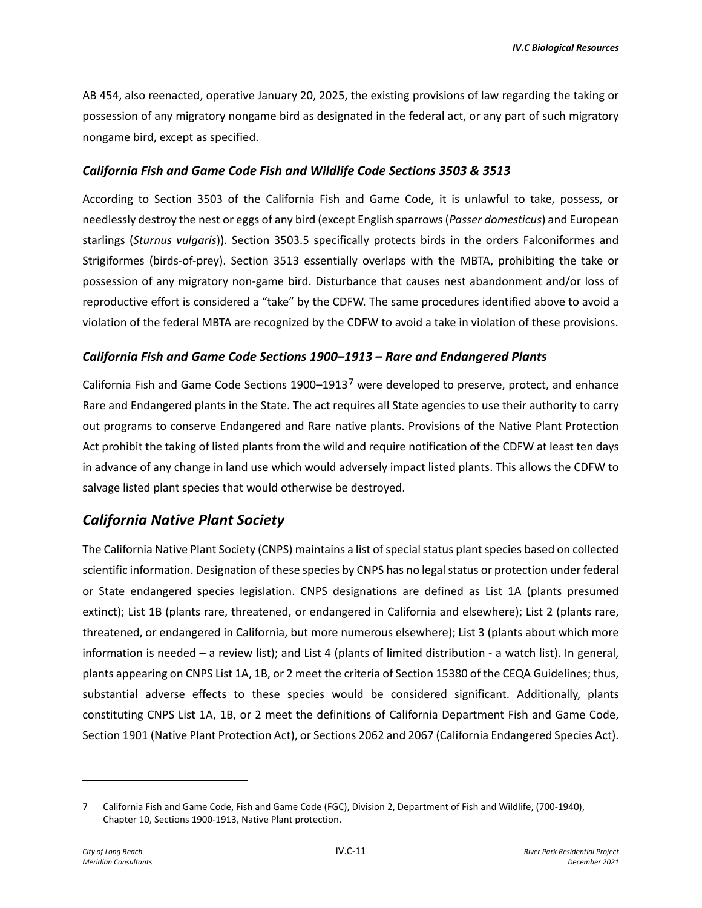AB 454, also reenacted, operative January 20, 2025, the existing provisions of law regarding the taking or possession of any migratory nongame bird as designated in the federal act, or any part of such migratory nongame bird, except as specified.

#### *California Fish and Game Code Fish and Wildlife Code Sections 3503 & 3513*

According to Section 3503 of the California Fish and Game Code, it is unlawful to take, possess, or needlessly destroy the nest or eggs of any bird (except English sparrows (*Passer domesticus*) and European starlings (*Sturnus vulgaris*)). Section 3503.5 specifically protects birds in the orders Falconiformes and Strigiformes (birds-of-prey). Section 3513 essentially overlaps with the MBTA, prohibiting the take or possession of any migratory non-game bird. Disturbance that causes nest abandonment and/or loss of reproductive effort is considered a "take" by the CDFW. The same procedures identified above to avoid a violation of the federal MBTA are recognized by the CDFW to avoid a take in violation of these provisions.

#### *California Fish and Game Code Sections 1900–1913 – Rare and Endangered Plants*

California Fish and Game Code Sections  $1900-1913<sup>7</sup>$  $1900-1913<sup>7</sup>$  $1900-1913<sup>7</sup>$  were developed to preserve, protect, and enhance Rare and Endangered plants in the State. The act requires all State agencies to use their authority to carry out programs to conserve Endangered and Rare native plants. Provisions of the Native Plant Protection Act prohibit the taking of listed plants from the wild and require notification of the CDFW at least ten days in advance of any change in land use which would adversely impact listed plants. This allows the CDFW to salvage listed plant species that would otherwise be destroyed.

### *California Native Plant Society*

The California Native Plant Society (CNPS) maintains a list of special status plant species based on collected scientific information. Designation of these species by CNPS has no legal status or protection under federal or State endangered species legislation. CNPS designations are defined as List 1A (plants presumed extinct); List 1B (plants rare, threatened, or endangered in California and elsewhere); List 2 (plants rare, threatened, or endangered in California, but more numerous elsewhere); List 3 (plants about which more information is needed – a review list); and List 4 (plants of limited distribution - a watch list). In general, plants appearing on CNPS List 1A, 1B, or 2 meet the criteria of Section 15380 of the CEQA Guidelines; thus, substantial adverse effects to these species would be considered significant. Additionally, plants constituting CNPS List 1A, 1B, or 2 meet the definitions of California Department Fish and Game Code, Section 1901 (Native Plant Protection Act), or Sections 2062 and 2067 (California Endangered Species Act).

<span id="page-10-0"></span><sup>7</sup> California Fish and Game Code, Fish and Game Code (FGC), Division 2, Department of Fish and Wildlife, (700-1940), Chapter 10, Sections 1900-1913, Native Plant protection.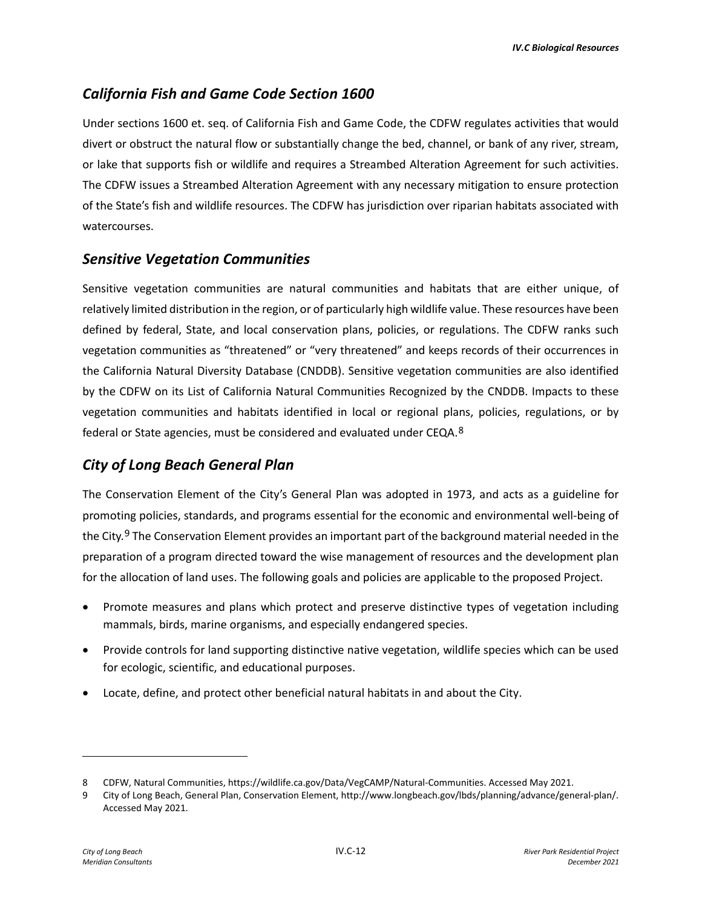## *California Fish and Game Code Section 1600*

Under sections 1600 et. seq. of California Fish and Game Code, the CDFW regulates activities that would divert or obstruct the natural flow or substantially change the bed, channel, or bank of any river, stream, or lake that supports fish or wildlife and requires a Streambed Alteration Agreement for such activities. The CDFW issues a Streambed Alteration Agreement with any necessary mitigation to ensure protection of the State's fish and wildlife resources. The CDFW has jurisdiction over riparian habitats associated with watercourses.

#### *Sensitive Vegetation Communities*

Sensitive vegetation communities are natural communities and habitats that are either unique, of relatively limited distribution in the region, or of particularly high wildlife value. These resources have been defined by federal, State, and local conservation plans, policies, or regulations. The CDFW ranks such vegetation communities as "threatened" or "very threatened" and keeps records of their occurrences in the California Natural Diversity Database (CNDDB). Sensitive vegetation communities are also identified by the CDFW on its List of California Natural Communities Recognized by the CNDDB. Impacts to these vegetation communities and habitats identified in local or regional plans, policies, regulations, or by federal or State agencies, must be considered and evaluated under CEQA.[8](#page-11-0)

### *City of Long Beach General Plan*

The Conservation Element of the City's General Plan was adopted in 1973, and acts as a guideline for promoting policies, standards, and programs essential for the economic and environmental well-being of the City.<sup>[9](#page-11-1)</sup> The Conservation Element provides an important part of the background material needed in the preparation of a program directed toward the wise management of resources and the development plan for the allocation of land uses. The following goals and policies are applicable to the proposed Project.

- Promote measures and plans which protect and preserve distinctive types of vegetation including mammals, birds, marine organisms, and especially endangered species.
- Provide controls for land supporting distinctive native vegetation, wildlife species which can be used for ecologic, scientific, and educational purposes.
- Locate, define, and protect other beneficial natural habitats in and about the City.

<span id="page-11-0"></span><sup>8</sup> CDFW, Natural Communities, https://wildlife.ca.gov/Data/VegCAMP/Natural-Communities. Accessed May 2021.

<span id="page-11-1"></span><sup>9</sup> City of Long Beach, General Plan, Conservation Element, http://www.longbeach.gov/lbds/planning/advance/general-plan/. Accessed May 2021.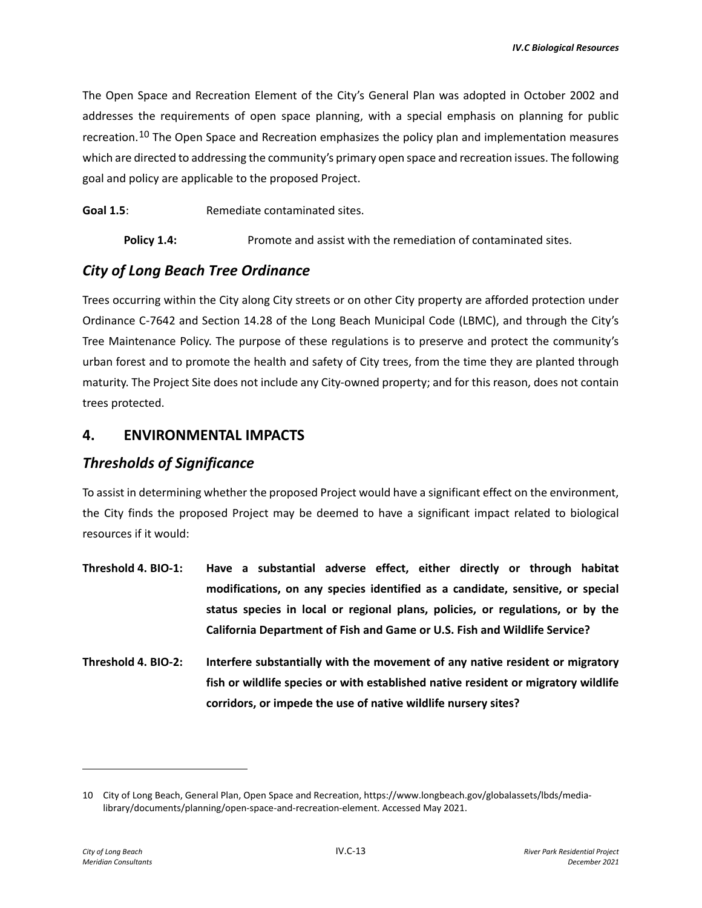The Open Space and Recreation Element of the City's General Plan was adopted in October 2002 and addresses the requirements of open space planning, with a special emphasis on planning for public recreation.<sup>[10](#page-12-0)</sup> The Open Space and Recreation emphasizes the policy plan and implementation measures which are directed to addressing the community's primary open space and recreation issues. The following goal and policy are applicable to the proposed Project.

Goal 1.5: Remediate contaminated sites.

**Policy 1.4:** Promote and assist with the remediation of contaminated sites.

#### *City of Long Beach Tree Ordinance*

Trees occurring within the City along City streets or on other City property are afforded protection under Ordinance C-7642 and Section 14.28 of the Long Beach Municipal Code (LBMC), and through the City's Tree Maintenance Policy. The purpose of these regulations is to preserve and protect the community's urban forest and to promote the health and safety of City trees, from the time they are planted through maturity. The Project Site does not include any City-owned property; and for this reason, does not contain trees protected.

#### **4. ENVIRONMENTAL IMPACTS**

#### *Thresholds of Significance*

To assist in determining whether the proposed Project would have a significant effect on the environment, the City finds the proposed Project may be deemed to have a significant impact related to biological resources if it would:

- **Threshold 4. BIO-1: Have a substantial adverse effect, either directly or through habitat modifications, on any species identified as a candidate, sensitive, or special status species in local or regional plans, policies, or regulations, or by the California Department of Fish and Game or U.S. Fish and Wildlife Service?**
- **Threshold 4. BIO-2: Interfere substantially with the movement of any native resident or migratory fish or wildlife species or with established native resident or migratory wildlife corridors, or impede the use of native wildlife nursery sites?**

<span id="page-12-0"></span><sup>10</sup> City of Long Beach, General Plan, Open Space and Recreation, https://www.longbeach.gov/globalassets/lbds/medialibrary/documents/planning/open-space-and-recreation-element. Accessed May 2021.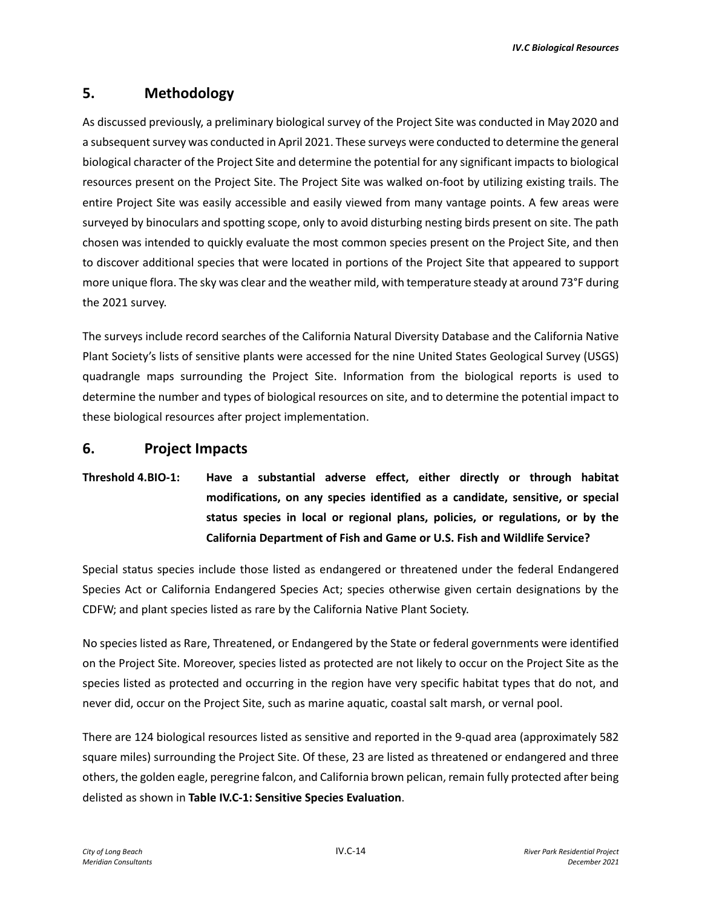## **5. Methodology**

As discussed previously, a preliminary biological survey of the Project Site was conducted in May 2020 and a subsequent survey was conducted in April 2021. These surveys were conducted to determine the general biological character of the Project Site and determine the potential for any significant impacts to biological resources present on the Project Site. The Project Site was walked on-foot by utilizing existing trails. The entire Project Site was easily accessible and easily viewed from many vantage points. A few areas were surveyed by binoculars and spotting scope, only to avoid disturbing nesting birds present on site. The path chosen was intended to quickly evaluate the most common species present on the Project Site, and then to discover additional species that were located in portions of the Project Site that appeared to support more unique flora. The sky was clear and the weather mild, with temperature steady at around 73°F during the 2021 survey.

The surveys include record searches of the California Natural Diversity Database and the California Native Plant Society's lists of sensitive plants were accessed for the nine United States Geological Survey (USGS) quadrangle maps surrounding the Project Site. Information from the biological reports is used to determine the number and types of biological resources on site, and to determine the potential impact to these biological resources after project implementation.

#### **6. Project Impacts**

# **Threshold 4.BIO-1: Have a substantial adverse effect, either directly or through habitat modifications, on any species identified as a candidate, sensitive, or special status species in local or regional plans, policies, or regulations, or by the California Department of Fish and Game or U.S. Fish and Wildlife Service?**

Special status species include those listed as endangered or threatened under the federal Endangered Species Act or California Endangered Species Act; species otherwise given certain designations by the CDFW; and plant species listed as rare by the California Native Plant Society.

No species listed as Rare, Threatened, or Endangered by the State or federal governments were identified on the Project Site. Moreover, species listed as protected are not likely to occur on the Project Site as the species listed as protected and occurring in the region have very specific habitat types that do not, and never did, occur on the Project Site, such as marine aquatic, coastal salt marsh, or vernal pool.

There are 124 biological resources listed as sensitive and reported in the 9-quad area (approximately 582 square miles) surrounding the Project Site. Of these, 23 are listed as threatened or endangered and three others, the golden eagle, peregrine falcon, and California brown pelican, remain fully protected after being delisted as shown in **Table IV.C-1: Sensitive Species Evaluation**.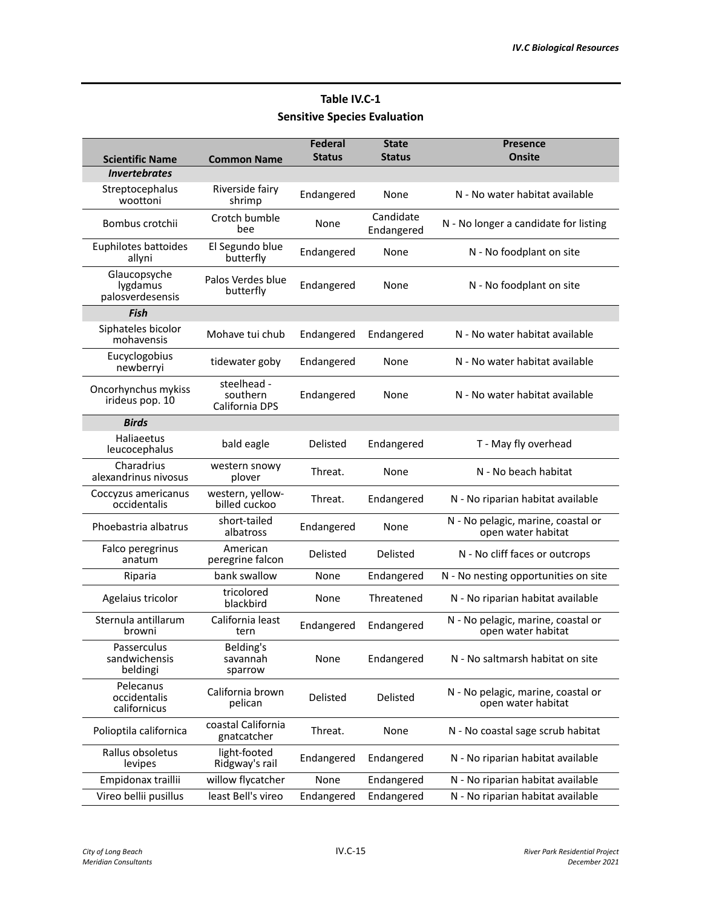# **Table IV.C-1 Sensitive Species Evaluation**

|                                              |                                           | <b>Federal</b> | <b>State</b>            | <b>Presence</b>                                          |
|----------------------------------------------|-------------------------------------------|----------------|-------------------------|----------------------------------------------------------|
| <b>Scientific Name</b>                       | <b>Common Name</b>                        | <b>Status</b>  | <b>Status</b>           | <b>Onsite</b>                                            |
| <b>Invertebrates</b>                         |                                           |                |                         |                                                          |
| Streptocephalus<br>woottoni                  | Riverside fairy<br>shrimp                 | Endangered     | None                    | N - No water habitat available                           |
| Bombus crotchii                              | Crotch bumble<br>bee                      | None           | Candidate<br>Endangered | N - No longer a candidate for listing                    |
| Euphilotes battoides<br>allyni               | El Segundo blue<br>butterfly              | Endangered     | None                    | N - No foodplant on site                                 |
| Glaucopsyche<br>lygdamus<br>palosverdesensis | Palos Verdes blue<br>butterfly            | Endangered     | None                    | N - No foodplant on site                                 |
| <b>Fish</b>                                  |                                           |                |                         |                                                          |
| Siphateles bicolor<br>mohavensis             | Mohave tui chub                           | Endangered     | Endangered              | N - No water habitat available                           |
| Eucyclogobius<br>newberryi                   | tidewater goby                            | Endangered     | None                    | N - No water habitat available                           |
| Oncorhynchus mykiss<br>irideus pop. 10       | steelhead -<br>southern<br>California DPS | Endangered     | None                    | N - No water habitat available                           |
| <b>Birds</b>                                 |                                           |                |                         |                                                          |
| Haliaeetus<br>leucocephalus                  | bald eagle                                | Delisted       | Endangered              | T - May fly overhead                                     |
| Charadrius<br>alexandrinus nivosus           | western snowy<br>plover                   | Threat.        | None                    | N - No beach habitat                                     |
| Coccyzus americanus<br>occidentalis          | western, yellow-<br>billed cuckoo         | Threat.        | Endangered              | N - No riparian habitat available                        |
| Phoebastria albatrus                         | short-tailed<br>albatross                 | Endangered     | None                    | N - No pelagic, marine, coastal or<br>open water habitat |
| Falco peregrinus<br>anatum                   | American<br>peregrine falcon              | Delisted       | Delisted                | N - No cliff faces or outcrops                           |
| Riparia                                      | bank swallow                              | None           | Endangered              | N - No nesting opportunities on site                     |
| Agelaius tricolor                            | tricolored<br>blackbird                   | None           | Threatened              | N - No riparian habitat available                        |
| Sternula antillarum<br>browni                | California least<br>tern                  | Endangered     | Endangered              | N - No pelagic, marine, coastal or<br>open water habitat |
| Passerculus<br>sandwichensis<br>beldingi     | Belding's<br>savannah<br>sparrow          | None           | Endangered              | N - No saltmarsh habitat on site                         |
| Pelecanus<br>occidentalis<br>californicus    | California brown<br>pelican               | Delisted       | Delisted                | N - No pelagic, marine, coastal or<br>open water habitat |
| Polioptila californica                       | coastal California<br>gnatcatcher         | Threat.        | None                    | N - No coastal sage scrub habitat                        |
| Rallus obsoletus<br>levipes                  | light-footed<br>Ridgway's rail            | Endangered     | Endangered              | N - No riparian habitat available                        |
| Empidonax traillii                           | willow flycatcher                         | None           | Endangered              | N - No riparian habitat available                        |
| Vireo bellii pusillus                        | least Bell's vireo                        | Endangered     | Endangered              | N - No riparian habitat available                        |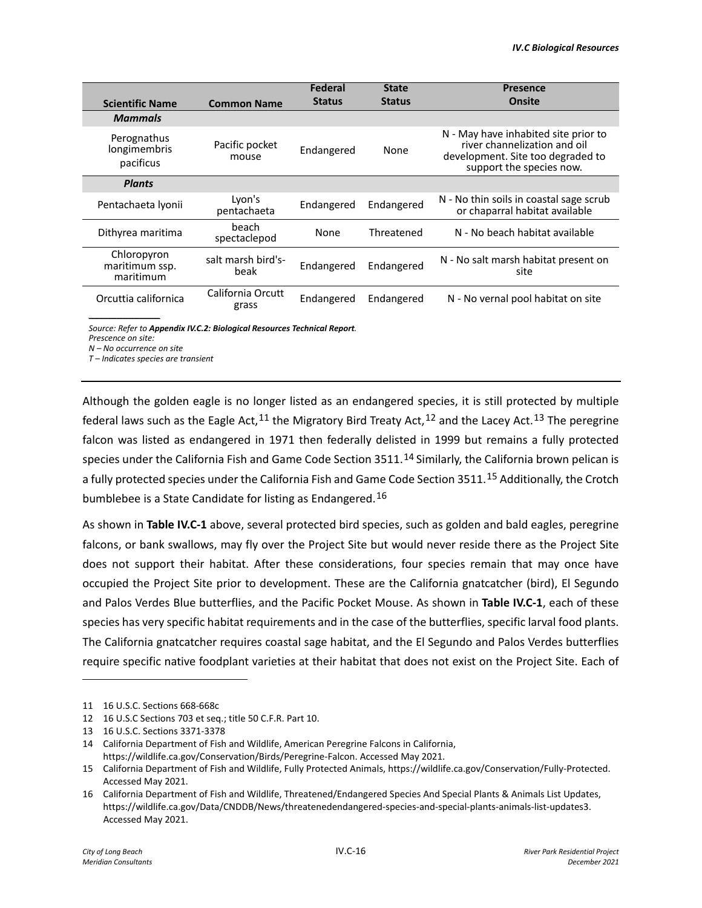|                                                                          |                            | <b>Federal</b> | <b>State</b>  | <b>Presence</b>                                                                                                                       |  |  |  |
|--------------------------------------------------------------------------|----------------------------|----------------|---------------|---------------------------------------------------------------------------------------------------------------------------------------|--|--|--|
| <b>Scientific Name</b>                                                   | <b>Common Name</b>         | <b>Status</b>  | <b>Status</b> | <b>Onsite</b>                                                                                                                         |  |  |  |
| <b>Mammals</b>                                                           |                            |                |               |                                                                                                                                       |  |  |  |
| Perognathus<br>longimembris<br>pacificus                                 | Pacific pocket<br>mouse    | Endangered     | None          | N - May have inhabited site prior to<br>river channelization and oil<br>development. Site too degraded to<br>support the species now. |  |  |  |
| <b>Plants</b>                                                            |                            |                |               |                                                                                                                                       |  |  |  |
| Pentachaeta Ivonii                                                       | Lyon's<br>pentachaeta      | Endangered     | Endangered    | N - No thin soils in coastal sage scrub<br>or chaparral habitat available                                                             |  |  |  |
| Dithyrea maritima                                                        | beach<br>spectaclepod      | None           | Threatened    | N - No beach habitat available                                                                                                        |  |  |  |
| Chloropyron<br>maritimum ssp.<br>maritimum                               | salt marsh bird's-<br>beak | Endangered     | Endangered    | N - No salt marsh habitat present on<br>site                                                                                          |  |  |  |
| Orcuttia californica                                                     | California Orcutt<br>grass | Endangered     | Endangered    | N - No vernal pool habitat on site                                                                                                    |  |  |  |
| Source: Refer to Appendix IV.C.2: Biological Resources Technical Report. |                            |                |               |                                                                                                                                       |  |  |  |

*Prescence on site:*

*N – No occurrence on site*

*T – Indicates species are transient*

Although the golden eagle is no longer listed as an endangered species, it is still protected by multiple federal laws such as the Eagle Act,  $^{11}$  $^{11}$  $^{11}$  the Migratory Bird Treaty Act,  $^{12}$  $^{12}$  $^{12}$  and the Lacey Act.  $^{13}$  $^{13}$  $^{13}$  The peregrine falcon was listed as endangered in 1971 then federally delisted in 1999 but remains a fully protected species under the California Fish and Game Code Section 3511.<sup>[14](#page-15-3)</sup> Similarly, the California brown pelican is a fully protected species under the California Fish and Game Code Section 3511.<sup>[15](#page-15-4)</sup> Additionally, the Crotch bumblebee is a State Candidate for listing as Endangered.[16](#page-15-5) 

As shown in **Table IV.C-1** above, several protected bird species, such as golden and bald eagles, peregrine falcons, or bank swallows, may fly over the Project Site but would never reside there as the Project Site does not support their habitat. After these considerations, four species remain that may once have occupied the Project Site prior to development. These are the California gnatcatcher (bird), El Segundo and Palos Verdes Blue butterflies, and the Pacific Pocket Mouse. As shown in **Table IV.C-1**, each of these species has very specific habitat requirements and in the case of the butterflies, specific larval food plants. The California gnatcatcher requires coastal sage habitat, and the El Segundo and Palos Verdes butterflies require specific native foodplant varieties at their habitat that does not exist on the Project Site. Each of

<span id="page-15-3"></span>14 California Department of Fish and Wildlife, American Peregrine Falcons in California,

<span id="page-15-0"></span><sup>11 16</sup> U.S.C. Sections 668-668c

<span id="page-15-1"></span><sup>12 16</sup> U.S.C Sections 703 et seq.; title 50 C.F.R. Part 10.

<span id="page-15-2"></span><sup>13 16</sup> U.S.C. Sections 3371-3378

https://wildlife.ca.gov/Conservation/Birds/Peregrine-Falcon. Accessed May 2021.

<span id="page-15-4"></span><sup>15</sup> California Department of Fish and Wildlife, Fully Protected Animals, https://wildlife.ca.gov/Conservation/Fully-Protected. Accessed May 2021.

<span id="page-15-5"></span><sup>16</sup> California Department of Fish and Wildlife, Threatened/Endangered Species And Special Plants & Animals List Updates, https://wildlife.ca.gov/Data/CNDDB/News/threatenedendangered-species-and-special-plants-animals-list-updates3. Accessed May 2021.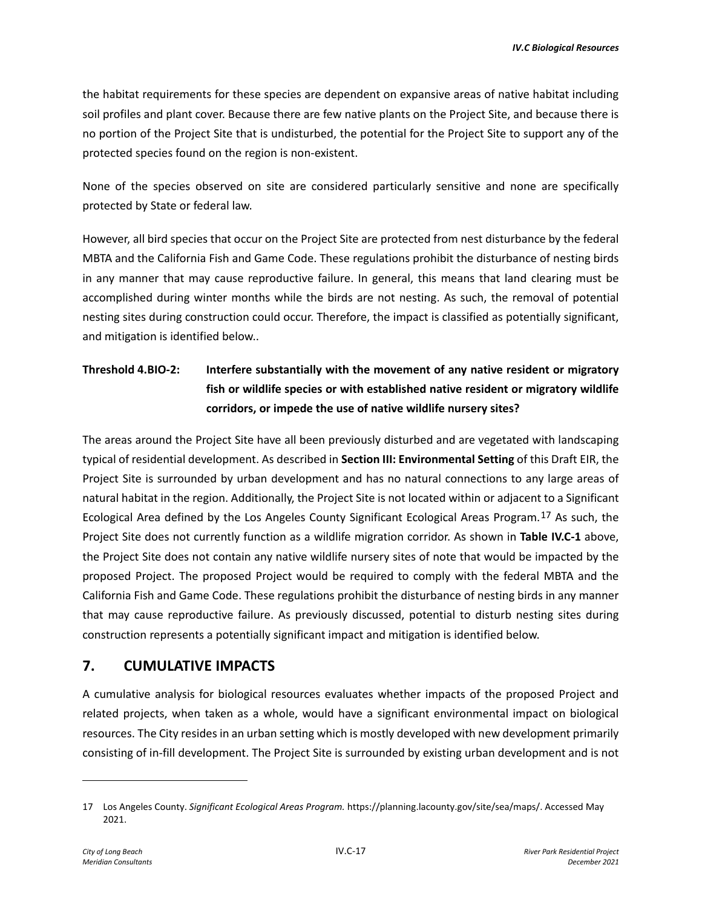the habitat requirements for these species are dependent on expansive areas of native habitat including soil profiles and plant cover. Because there are few native plants on the Project Site, and because there is no portion of the Project Site that is undisturbed, the potential for the Project Site to support any of the protected species found on the region is non-existent.

None of the species observed on site are considered particularly sensitive and none are specifically protected by State or federal law.

However, all bird species that occur on the Project Site are protected from nest disturbance by the federal MBTA and the California Fish and Game Code. These regulations prohibit the disturbance of nesting birds in any manner that may cause reproductive failure. In general, this means that land clearing must be accomplished during winter months while the birds are not nesting. As such, the removal of potential nesting sites during construction could occur. Therefore, the impact is classified as potentially significant, and mitigation is identified below..

# **Threshold 4.BIO-2: Interfere substantially with the movement of any native resident or migratory fish or wildlife species or with established native resident or migratory wildlife corridors, or impede the use of native wildlife nursery sites?**

The areas around the Project Site have all been previously disturbed and are vegetated with landscaping typical of residential development. As described in **Section III: Environmental Setting** of this Draft EIR, the Project Site is surrounded by urban development and has no natural connections to any large areas of natural habitat in the region. Additionally, the Project Site is not located within or adjacent to a Significant Ecological Area defined by the Los Angeles County Significant Ecological Areas Program.[17](#page-16-0) As such, the Project Site does not currently function as a wildlife migration corridor. As shown in **Table IV.C-1** above, the Project Site does not contain any native wildlife nursery sites of note that would be impacted by the proposed Project. The proposed Project would be required to comply with the federal MBTA and the California Fish and Game Code. These regulations prohibit the disturbance of nesting birds in any manner that may cause reproductive failure. As previously discussed, potential to disturb nesting sites during construction represents a potentially significant impact and mitigation is identified below.

### **7. CUMULATIVE IMPACTS**

A cumulative analysis for biological resources evaluates whether impacts of the proposed Project and related projects, when taken as a whole, would have a significant environmental impact on biological resources. The City resides in an urban setting which is mostly developed with new development primarily consisting of in-fill development. The Project Site is surrounded by existing urban development and is not

<span id="page-16-0"></span><sup>17</sup> Los Angeles County. *Significant Ecological Areas Program.* https://planning.lacounty.gov/site/sea/maps/. Accessed May 2021.